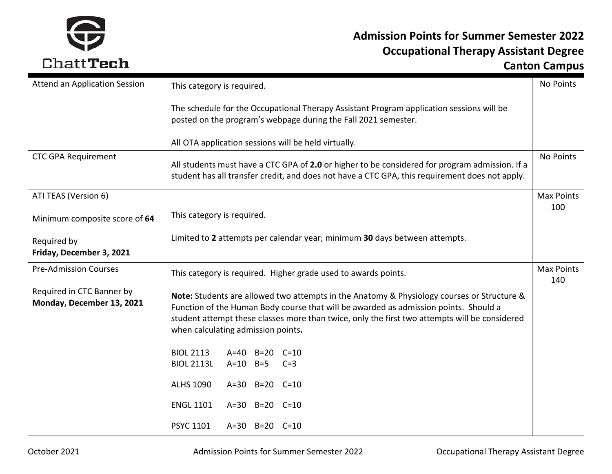

| Attend an Application Session                          | This category is required.                                                                                                                                                                                                                                                                                                |                   |  |  |
|--------------------------------------------------------|---------------------------------------------------------------------------------------------------------------------------------------------------------------------------------------------------------------------------------------------------------------------------------------------------------------------------|-------------------|--|--|
|                                                        | The schedule for the Occupational Therapy Assistant Program application sessions will be<br>posted on the program's webpage during the Fall 2021 semester.                                                                                                                                                                |                   |  |  |
|                                                        | All OTA application sessions will be held virtually.                                                                                                                                                                                                                                                                      |                   |  |  |
| <b>CTC GPA Requirement</b>                             | No Points<br>All students must have a CTC GPA of 2.0 or higher to be considered for program admission. If a<br>student has all transfer credit, and does not have a CTC GPA, this requirement does not apply.                                                                                                             |                   |  |  |
| ATI TEAS (Version 6)                                   |                                                                                                                                                                                                                                                                                                                           | <b>Max Points</b> |  |  |
| Minimum composite score of 64                          | This category is required.                                                                                                                                                                                                                                                                                                | 100               |  |  |
| Required by<br>Friday, December 3, 2021                | Limited to 2 attempts per calendar year; minimum 30 days between attempts.                                                                                                                                                                                                                                                |                   |  |  |
| <b>Pre-Admission Courses</b>                           | This category is required. Higher grade used to awards points.                                                                                                                                                                                                                                                            |                   |  |  |
| Required in CTC Banner by<br>Monday, December 13, 2021 | Note: Students are allowed two attempts in the Anatomy & Physiology courses or Structure &<br>Function of the Human Body course that will be awarded as admission points. Should a<br>student attempt these classes more than twice, only the first two attempts will be considered<br>when calculating admission points. |                   |  |  |
|                                                        | <b>BIOL 2113</b><br>A=40 B=20 C=10                                                                                                                                                                                                                                                                                        |                   |  |  |
|                                                        | <b>BIOL 2113L</b><br>$A=10$ $B=5$<br>$C=3$                                                                                                                                                                                                                                                                                |                   |  |  |
|                                                        | <b>ALHS 1090</b><br>A=30 B=20 C=10                                                                                                                                                                                                                                                                                        |                   |  |  |
|                                                        | <b>ENGL 1101</b><br>A=30 B=20 C=10                                                                                                                                                                                                                                                                                        |                   |  |  |
|                                                        | <b>PSYC 1101</b><br>A=30 B=20 C=10                                                                                                                                                                                                                                                                                        |                   |  |  |